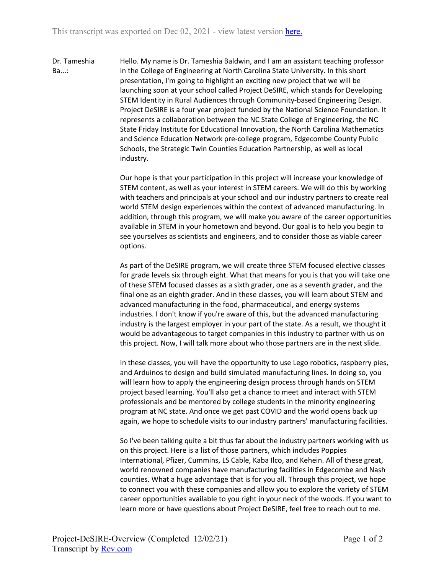Dr. Tameshia Ba...: Hello. My name is Dr. Tameshia Baldwin, and I am an assistant teaching professor in the College of Engineering at North Carolina State University. In this short presentation, I'm going to highlight an exciting new project that we will be launching soon at your school called Project DeSIRE, which stands for Developing STEM Identity in Rural Audiences through Community-based Engineering Design. Project DeSIRE is a four year project funded by the National Science Foundation. It represents a collaboration between the NC State College of Engineering, the NC State Friday Institute for Educational Innovation, the North Carolina Mathematics and Science Education Network pre-college program, Edgecombe County Public Schools, the Strategic Twin Counties Education Partnership, as well as local industry.

> Our hope is that your participation in this project will increase your knowledge of STEM content, as well as your interest in STEM careers. We will do this by working with teachers and principals at your school and our industry partners to create real world STEM design experiences within the context of advanced manufacturing. In addition, through this program, we will make you aware of the career opportunities available in STEM in your hometown and beyond. Our goal is to help you begin to see yourselves as scientists and engineers, and to consider those as viable career options.

> As part of the DeSIRE program, we will create three STEM focused elective classes for grade levels six through eight. What that means for you is that you will take one of these STEM focused classes as a sixth grader, one as a seventh grader, and the final one as an eighth grader. And in these classes, you will learn about STEM and advanced manufacturing in the food, pharmaceutical, and energy systems industries. I don't know if you're aware of this, but the advanced manufacturing industry is the largest employer in your part of the state. As a result, we thought it would be advantageous to target companies in this industry to partner with us on this project. Now, I will talk more about who those partners are in the next slide.

> In these classes, you will have the opportunity to use Lego robotics, raspberry pies, and Arduinos to design and build simulated manufacturing lines. In doing so, you will learn how to apply the engineering design process through hands on STEM project based learning. You'll also get a chance to meet and interact with STEM professionals and be mentored by college students in the minority engineering program at NC state. And once we get past COVID and the world opens back up again, we hope to schedule visits to our industry partners' manufacturing facilities.

So I've been talking quite a bit thus far about the industry partners working with us on this project. Here is a list of those partners, which includes Poppies International, Pfizer, Cummins, LS Cable, Kaba Ilco, and Kehein. All of these great, world renowned companies have manufacturing facilities in Edgecombe and Nash counties. What a huge advantage that is for you all. Through this project, we hope to connect you with these companies and allow you to explore the variety of STEM career opportunities available to you right in your neck of the woods. If you want to learn more or have questions about Project DeSIRE, feel free to reach out to me.